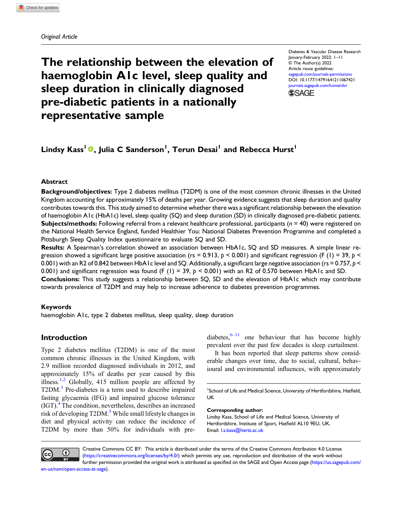#### Original Article

# The relationship between the elevation of haemoglobin A1c level, sleep quality and sleep duration in clinically diagnosed pre-diabetic patients in a nationally representative sample

Diabetes & Vascular Disease Research January-February 2022: 1–11 © The Author(s) 2022 Article reuse guidelines: [sagepub.com/journals-permissions](https://uk.sagepub.com/en-gb/journals-permissions) DOI: [10.1177/14791641211067421](https://doi.org/10.1177/14791641211067421) [journals.sagepub.com/home/dvr](https://journals.sagepub.com/home/dvr) **SSAGE** 

## Lindsy Kass<sup>l</sup> ®, Julia C Sanderson<sup>1</sup>, Terun Desai<sup>1</sup> and Rebecca Hurst<sup>1</sup>

#### Abstract

Background/objectives: Type 2 diabetes mellitus (T2DM) is one of the most common chronic illnesses in the United Kingdom accounting for approximately 15% of deaths per year. Growing evidence suggests that sleep duration and quality contributes towards this. This study aimed to determine whether there was a significant relationship between the elevation of haemoglobin A1c (HbA1c) level, sleep quality (SQ) and sleep duration (SD) in clinically diagnosed pre-diabetic patients. **Subjects/methods:** Following referral from a relevant healthcare professional, participants ( $n = 40$ ) were registered on the National Health Service England, funded Healthier You: National Diabetes Prevention Programme and completed a Pittsburgh Sleep Quality Index questionnaire to evaluate SQ and SD.

Results: A Spearman's correlation showed an association between HbA1c, SQ and SD measures. A simple linear regression showed a significant large positive association (rs = 0.913,  $p < 0.001$ ) and significant regression (F (1) = 39,  $p <$ 0.001) with an R2 of 0.842 between HbA1c level and SQ. Additionally, a significant large negative association (rs = 0.757,  $p$  < 0.001) and significant regression was found (F (1) = 39,  $p < 0.001$ ) with an R2 of 0.570 between HbA1c and SD.

Conclusions: This study suggests a relationship between SQ, SD and the elevation of HbA1c which may contribute towards prevalence of T2DM and may help to increase adherence to diabetes prevention programmes.

#### Keywords

haemoglobin A1c, type 2 diabetes mellitus, sleep quality, sleep duration

## Introduction

Type 2 diabetes mellitus (T2DM) is one of the most common chronic illnesses in the United Kingdom, with 2.9 million recorded diagnosed individuals in 2012, and approximately 15% of deaths per year caused by this illness. $1,2$  $1,2$  Globally, 415 million people are affected by T2DM.<sup>[3](#page-7-2)</sup> Pre-diabetes is a term used to describe impaired fasting glycaemia (IFG) and impaired glucose tolerance (IGT).[4](#page-7-3) The condition, nevertheless, describes an increased risk of developing T2DM.<sup>[5](#page-7-4)</sup> While small lifestyle changes in diet and physical activity can reduce the incidence of T2DM by more than 50% for individuals with prediabetes, $6-11$  $6-11$  $6-11$  one behaviour that has become highly prevalent over the past few decades is sleep curtailment.

It has been reported that sleep patterns show considerable changes over time, due to social, cultural, behavioural and environmental influences, with approximately

<sup>1</sup>School of Life and Medical Science, University of Hertfordshire, Hatfield, UK

#### Corresponding author:

Lindsy Kass, School of Life and Medical Science, University of Hertfordshire, Institute of Sport, Hatfield AL10 9EU, UK. Email: [l.s.kass@herts.ac.uk](mailto:l.s.kass@herts.ac.uk)



Creative Commons CC BY: This article is distributed under the terms of the Creative Commons Attribution 4.0 License ([https://creativecommons.org/licenses/by/4.0/\)](https://creativecommons.org/licenses/by/4.0/) which permits any use, reproduction and distribution of the work without further permission provided the original work is attributed as specified on the SAGE and Open Access page [\(https://us.sagepub.com/](https://us.sagepub.com/en-us/nam/open-access-at-sage)

[en-us/nam/open-access-at-sage\)](https://us.sagepub.com/en-us/nam/open-access-at-sage).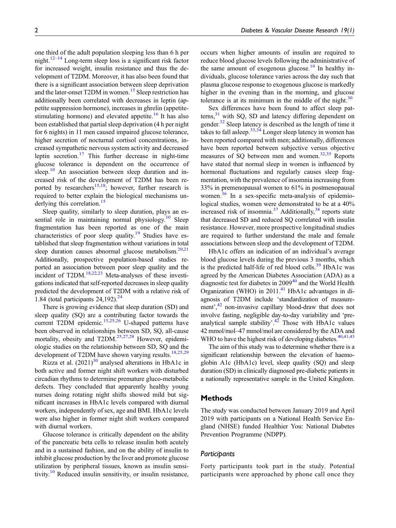one third of the adult population sleeping less than 6 h per night.<sup>[12](#page-7-7)–[14](#page-7-8)</sup> Long-term sleep loss is a significant risk factor for increased weight, insulin resistance and thus the development of T2DM. Moreover, it has also been found that there is a significant association between sleep deprivation and the later-onset T2DM in women.<sup>[15](#page-7-9)</sup> Sleep restriction has additionally been correlated with decreases in leptin (appetite suppression hormone), increases in ghrelin (appetite-stimulating hormone) and elevated appetite.<sup>[16](#page-7-10)</sup> It has also been established that partial sleep deprivation (4 h per night for 6 nights) in 11 men caused impaired glucose tolerance, higher secretion of nocturnal cortisol concentrations, increased sympathetic nervous system activity and decreased leptin secretion.<sup>[17](#page-8-0)</sup> This further decrease in night-time glucose tolerance is dependent on the occurrence of sleep.<sup>[10](#page-7-11)</sup> An association between sleep duration and increased risk of the development of T2DM has been re-ported by researchers<sup>[15](#page-7-9),18</sup>; however, further research is required to better explain the biological mechanisms un-derlying this correlation.<sup>[15](#page-7-9)</sup>

Sleep quality, similarly to sleep duration, plays an es-sential role in maintaining normal physiology.<sup>[10](#page-7-11)</sup> Sleep fragmentation has been reported as one of the main characteristics of poor sleep quality.<sup>[19](#page-8-2)</sup> Studies have established that sleep fragmentation without variations in total sleep duration causes abnormal glucose metabolism.<sup>20,[21](#page-8-4)</sup> Additionally, prospective population-based studies reported an association between poor sleep quality and the incident of T2DM.<sup>18[,22](#page-8-5)[,23](#page-8-6)</sup> Meta-analyses of these investigations indicated that self-reported decreases in sleep quality predicted the development of T2DM with a relative risk of 1.84 (total participants  $24,192$  $24,192$ ).<sup>24</sup>

There is growing evidence that sleep duration (SD) and sleep quality (SQ) are a contributing factor towards the current T2DM epidemic.<sup>[15,](#page-7-9)[25](#page-8-8)[,26](#page-8-9)</sup> U-shaped patterns have been observed in relationships between SD, SQ, all-cause mortality, obesity and  $T2DM.<sup>25,27,28</sup>$  $T2DM.<sup>25,27,28</sup>$  $T2DM.<sup>25,27,28</sup>$  $T2DM.<sup>25,27,28</sup>$  $T2DM.<sup>25,27,28</sup>$  $T2DM.<sup>25,27,28</sup>$  However, epidemiologic studies on the relationship between SD, SQ and the development of T2DM have shown varying results.<sup>[18](#page-8-1)[,25](#page-8-8)[,29](#page-8-12)</sup>

Rizza et al.  $(2021)^{30}$  $(2021)^{30}$  $(2021)^{30}$  analysed alterations in HbA1c in both active and former night shift workers with disturbed circadian rhythms to determine premature gluco-metabolic defects. They concluded that apparently healthy young nurses doing rotating night shifts showed mild but significant increases in HbA1c levels compared with diurnal workers, independently of sex, age and BMI. HbA1c levels were also higher in former night shift workers compared with diurnal workers.

Glucose tolerance is critically dependent on the ability of the pancreatic beta cells to release insulin both acutely and in a sustained fashion, and on the ability of insulin to inhibit glucose production by the liver and promote glucose utilization by peripheral tissues, known as insulin sensi-tivity.<sup>[10](#page-7-11)</sup> Reduced insulin sensitivity, or insulin resistance, occurs when higher amounts of insulin are required to reduce blood glucose levels following the administrative of the same amount of exogenous glucose.<sup>[10](#page-7-11)</sup> In healthy individuals, glucose tolerance varies across the day such that plasma glucose response to exogenous glucose is markedly higher in the evening than in the morning, and glucose tolerance is at its minimum in the middle of the night. $30$ 

Sex differences have been found to affect sleep patterns, $31$  with SQ, SD and latency differing dependent on gender.[32](#page-8-15) Sleep latency is described as the length of time it takes to fall asleep.  $33,34$  $33,34$  Longer sleep latency in women has been reported compared with men; additionally, differences have been reported between subjective versus objective measures of SQ between men and women.<sup>[32](#page-8-15),[35](#page-8-18)</sup> Reports have stated that normal sleep in women is influenced by hormonal fluctuations and regularly causes sleep fragmentation, with the prevalence of insomnia increasing from 33% in premenopausal women to 61% in postmenopausal women. $36$  In a sex-specific meta-analysis of epidemiological studies, women were demonstrated to be at a 40% increased risk of insomnia.<sup>37</sup> Additionally,<sup>[38](#page-8-21)</sup> reports state that decreased SD and reduced SQ correlated with insulin resistance. However, more prospective longitudinal studies are required to further understand the male and female associations between sleep and the development of T2DM.

HbA1c offers an indication of an individual's average blood glucose levels during the previous 3 months, which is the predicted half-life of red blood cells. $39$  HbA1c was agreed by the American Diabetes Association (ADA) as a diagnostic test for diabetes in 2009<sup>[40](#page-8-23)</sup> and the World Health Organization (WHO) in 2011.<sup>41</sup> HbA1c advantages in diagnosis of T2DM include 'standardization of measure-ment',<sup>[42](#page-9-1)</sup> non-invasive capillary blood-draw that does not involve fasting, negligible day-to-day variability and 'pre-analytical sample stability'.<sup>[42](#page-9-1)</sup> Those with HbA1c values 42 mmol/mol–47 mmol/mol are considered by the ADA and WHO to have the highest risk of developing diabetes. $40,41,43$  $40,41,43$  $40,41,43$ 

The aim of this study was to determine whether there is a significant relationship between the elevation of haemoglobin A1c (HbA1c) level, sleep quality (SQ) and sleep duration (SD) in clinically diagnosed pre-diabetic patients in a nationally representative sample in the United Kingdom.

#### Methods

The study was conducted between January 2019 and April 2019 with participants on a National Health Service England (NHSE) funded Healthier You: National Diabetes Prevention Programme (NDPP).

#### **Participants**

Forty participants took part in the study. Potential participants were approached by phone call once they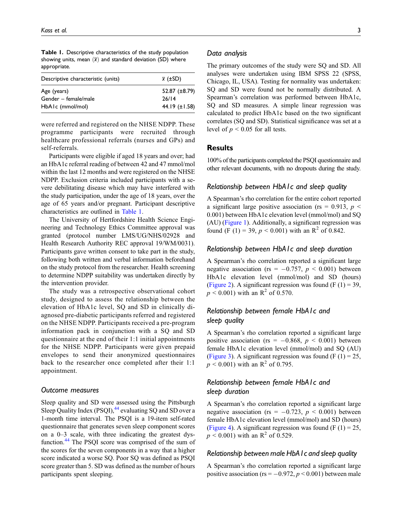<span id="page-2-0"></span>Table 1. Descriptive characteristics of the study population showing units, mean  $(\bar{x})$  and standard deviation (SD) where appropriate.

| Descriptive characteristic (units) | $\bar{x}$ ( $\pm$ SD) |
|------------------------------------|-----------------------|
| Age (years)                        | 52.87 $(\pm 8.79)$    |
| Gender – female/male               | 26/14                 |
| HbA1c (mmol/mol)                   | 44.19 $(\pm 1.58)$    |

were referred and registered on the NHSE NDPP. These programme participants were recruited through healthcare professional referrals (nurses and GPs) and self-referrals.

Participants were eligible if aged 18 years and over; had an HbA1c referral reading of between 42 and 47 mmol/mol within the last 12 months and were registered on the NHSE NDPP. Exclusion criteria included participants with a severe debilitating disease which may have interfered with the study participation, under the age of 18 years, over the age of 65 years and/or pregnant. Participant descriptive characteristics are outlined in [Table 1](#page-2-0).

The University of Hertfordshire Health Science Engineering and Technology Ethics Committee approval was granted (protocol number LMS/UG/NHS/02928 and Health Research Authority REC approval 19/WM/0031). Participants gave written consent to take part in the study, following both written and verbal information beforehand on the study protocol from the researcher. Health screening to determine NDPP suitability was undertaken directly by the intervention provider.

The study was a retrospective observational cohort study, designed to assess the relationship between the elevation of HbA1c level, SQ and SD in clinically diagnosed pre-diabetic participants referred and registered on the NHSE NDPP. Participants received a pre-program information pack in conjunction with a SQ and SD questionnaire at the end of their 1:1 initial appointments for the NHSE NDPP. Participants were given prepaid envelopes to send their anonymized questionnaires back to the researcher once completed after their 1:1 appointment.

#### Outcome measures

Sleep quality and SD were assessed using the Pittsburgh Sleep Quality Index (PSQI),<sup>[44](#page-9-3)</sup> evaluating SQ and SD over a 1-month time interval. The PSQI is a 19-item self-rated questionnaire that generates seven sleep component scores on a 0–3 scale, with three indicating the greatest dys-function.<sup>[44](#page-9-3)</sup> The PSQI score was comprised of the sum of the scores for the seven components in a way that a higher score indicated a worse SQ. Poor SQ was defined as PSQI score greater than 5. SD was defined as the number of hours participants spent sleeping.

#### Data analysis

The primary outcomes of the study were SQ and SD. All analyses were undertaken using IBM SPSS 22 (SPSS, Chicago, IL, USA). Testing for normality was undertaken: SQ and SD were found not be normally distributed. A Spearman's correlation was performed between HbA1c, SQ and SD measures. A simple linear regression was calculated to predict HbA1c based on the two significant correlates (SQ and SD). Statistical significance was set at a level of  $p < 0.05$  for all tests.

## **Results**

100% of the participants completed the PSQI questionnaire and other relevant documents, with no dropouts during the study.

#### Relationship between HbA1c and sleep quality

A Spearman's rho correlation for the entire cohort reported a significant large positive association (rs = 0.913,  $p \le$ 0.001) between HbA1c elevation level (mmol/mol) and SQ (AU) ([Figure 1](#page-3-0)). Additionally, a significant regression was found (F (1) = 39,  $p < 0.001$ ) with an R<sup>2</sup> of 0.842.

#### Relationship between HbA1c and sleep duration

A Spearman's rho correlation reported a significant large negative association (rs =  $-0.757$ ,  $p < 0.001$ ) between HbA1c elevation level (mmol/mol) and SD (hours) ([Figure 2\)](#page-3-1). A significant regression was found (F  $(1) = 39$ ,  $p \le 0.001$ ) with an R<sup>2</sup> of 0.570.

## Relationship between female HbA1c and sleep quality

A Spearman's rho correlation reported a significant large positive association (rs =  $-0.868$ ,  $p < 0.001$ ) between female HbA1c elevation level (mmol/mol) and SQ (AU) ([Figure 3\)](#page-4-0). A significant regression was found (F  $(1) = 25$ ,  $p \le 0.001$ ) with an R<sup>2</sup> of 0.795.

## Relationship between female HbA1c and sleep duration

A Spearman's rho correlation reported a significant large negative association (rs =  $-0.723$ ,  $p < 0.001$ ) between female HbA1c elevation level (mmol/mol) and SD (hours) ([Figure 4\)](#page-4-1). A significant regression was found (F  $(1) = 25$ ,  $p \le 0.001$ ) with an R<sup>2</sup> of 0.529.

#### Relationship between male HbA1c and sleep quality

A Spearman's rho correlation reported a significant large positive association (rs =  $-0.972$ ,  $p < 0.001$ ) between male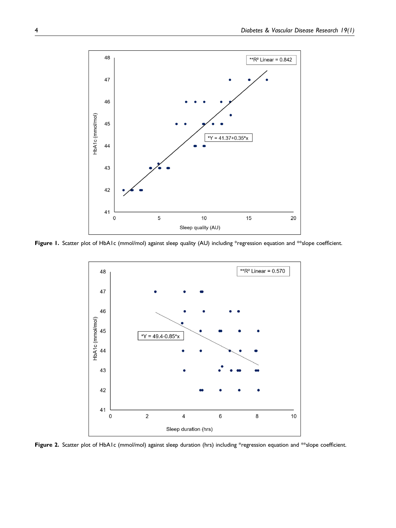

<span id="page-3-0"></span>Figure 1. Scatter plot of HbA1c (mmol/mol) against sleep quality (AU) including \*regression equation and \*\*slope coefficient.



<span id="page-3-1"></span>Figure 2. Scatter plot of HbA1c (mmol/mol) against sleep duration (hrs) including \*regression equation and \*\*slope coefficient.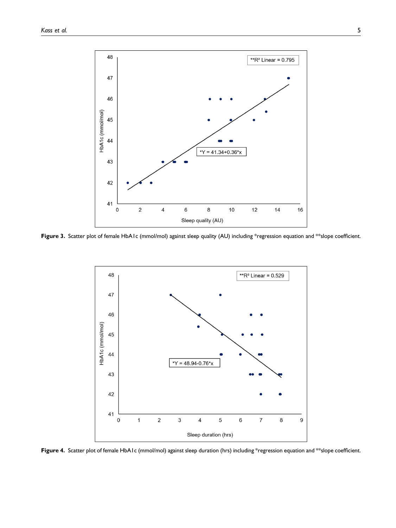

<span id="page-4-0"></span>Figure 3. Scatter plot of female HbA1c (mmol/mol) against sleep quality (AU) including \*regression equation and \*\*slope coefficient.



<span id="page-4-1"></span>Figure 4. Scatter plot of female HbA1c (mmol/mol) against sleep duration (hrs) including \*regression equation and \*\*slope coefficient.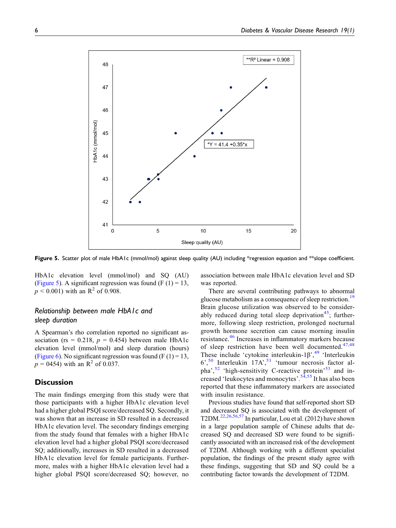

<span id="page-5-0"></span>Figure 5. Scatter plot of male HbA1c (mmol/mol) against sleep quality (AU) including \*regression equation and \*\*slope coefficient.

HbA1c elevation level (mmol/mol) and SQ (AU) ([Figure 5\)](#page-5-0). A significant regression was found (F  $(1) = 13$ ,  $p < 0.001$ ) with an R<sup>2</sup> of 0.908.

## Relationship between male HbA1c and sleep duration

A Spearman's rho correlation reported no significant association (rs = 0.218,  $p = 0.454$ ) between male HbA1c elevation level (mmol/mol) and sleep duration (hours) ([Figure 6](#page-6-0)). No significant regression was found (F  $(1) = 13$ ,  $p = 0454$ ) with an R<sup>2</sup> of 0.037.

#### **Discussion**

The main findings emerging from this study were that those participants with a higher HbA1c elevation level had a higher global PSQI score/decreased SQ. Secondly, it was shown that an increase in SD resulted in a decreased HbA1c elevation level. The secondary findings emerging from the study found that females with a higher HbA1c elevation level had a higher global PSQI score/decreased SQ; additionally, increases in SD resulted in a decreased HbA1c elevation level for female participants. Furthermore, males with a higher HbA1c elevation level had a higher global PSQI score/decreased SQ; however, no

association between male HbA1c elevation level and SD was reported.

There are several contributing pathways to abnormal glucose metabolism as a consequence of sleep restriction.<sup>[19](#page-8-2)</sup> Brain glucose utilization was observed to be consider-ably reduced during total sleep deprivation<sup>[45](#page-9-4)</sup>; furthermore, following sleep restriction, prolonged nocturnal growth hormone secretion can cause morning insulin resistance.[46](#page-9-5) Increases in inflammatory markers because of sleep restriction have been well documented. $47,48$  $47,48$ These include 'cytokine interleukin- $1\beta$ <sup>[49](#page-9-8)</sup> 'Interleukin 6', [50](#page-9-9) Interleukin 17A', [51](#page-9-10) 'tumour necrosis factor al-pha',<sup>[52](#page-9-11)</sup> 'high-sensitivity C-reactive protein'<sup>[53](#page-9-12)</sup> and in-creased 'leukocytes and monocytes'.<sup>[54,](#page-9-13)[55](#page-9-14)</sup> It has also been reported that these inflammatory markers are associated with insulin resistance.

Previous studies have found that self-reported short SD and decreased SQ is associated with the development of T2DM.<sup>[22,](#page-8-5)[26](#page-8-9)[,56,](#page-9-15)[57](#page-9-16)</sup> In particular, Lou et al. (2012) have shown in a large population sample of Chinese adults that decreased SQ and decreased SD were found to be significantly associated with an increased risk of the development of T2DM. Although working with a different specialist population, the findings of the present study agree with these findings, suggesting that SD and SQ could be a contributing factor towards the development of T2DM.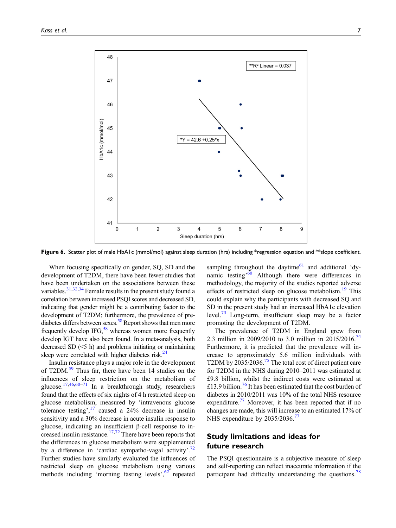

<span id="page-6-0"></span>Figure 6. Scatter plot of male HbA1c (mmol/mol) against sleep duration (hrs) including \*regression equation and \*\*slope coefficient.

When focusing specifically on gender, SQ, SD and the development of T2DM, there have been fewer studies that have been undertaken on the associations between these variables.<sup>[31](#page-8-14)[,32,](#page-8-15)[34](#page-8-17)</sup> Female results in the present study found a correlation between increased PSQI scores and decreased SD, indicating that gender might be a contributing factor to the development of T2DM; furthermore, the prevalence of prediabetes differs between sexes.<sup>58</sup> Report shows that men more frequently develop IFG, $^{58}$  whereas women more frequently develop IGT have also been found. In a meta-analysis, both decreased SD (<5 h) and problems initiating or maintaining sleep were correlated with higher diabetes risk.<sup>24</sup>

Insulin resistance plays a major role in the development of T2DM.<sup>[59](#page-9-18)</sup> Thus far, there have been 14 studies on the influences of sleep restriction on the metabolism of glucose.[17,](#page-8-0)[46](#page-9-5)[,60](#page-9-19)–[71](#page-10-0) In a breakthrough study, researchers found that the effects of six nights of 4 h restricted sleep on glucose metabolism, measured by 'intravenous glucose tolerance testing', $17$  caused a 24% decrease in insulin sensitivity and a 30% decrease in acute insulin response to glucose, indicating an insufficient β-cell response to in-creased insulin resistance.<sup>[17](#page-8-0)[,72](#page-10-1)</sup> There have been reports that the differences in glucose metabolism were supplemented by a difference in 'cardiac sympatho-vagal activity'.<sup>[72](#page-10-1)</sup> Further studies have similarly evaluated the influences of restricted sleep on glucose metabolism using various methods including 'morning fasting levels', [62](#page-9-20) repeated

sampling throughout the daytime<sup>[61](#page-9-21)</sup> and additional 'dy-namic testing<sup>, [60](#page-9-19)</sup> Although there were differences in methodology, the majority of the studies reported adverse effects of restricted sleep on glucose metabolism.<sup>[19](#page-8-2)</sup> This could explain why the participants with decreased SQ and SD in the present study had an increased HbA1c elevation level.<sup>[73](#page-10-2)</sup> Long-term, insufficient sleep may be a factor promoting the development of T2DM.

The prevalence of T2DM in England grew from 2.3 million in 2009/2010 to 3.0 million in 2015/2016.<sup>[74](#page-10-3)</sup> Furthermore, it is predicted that the prevalence will increase to approximately 5.6 million individuals with T2DM by 2035/2036.<sup>[75](#page-10-4)</sup> The total cost of direct patient care for T2DM in the NHS during 2010–2011 was estimated at £9.8 billion, whilst the indirect costs were estimated at £13.9 billion.<sup>[76](#page-10-5)</sup> It has been estimated that the cost burden of diabetes in 2010/2011 was 10% of the total NHS resource expenditure.<sup>[77](#page-10-6)</sup> Moreover, it has been reported that if no changes are made, this will increase to an estimated 17% of NHS expenditure by 2035/2036.<sup>[77](#page-10-6)</sup>

## Study limitations and ideas for future research

The PSQI questionnaire is a subjective measure of sleep and self-reporting can reflect inaccurate information if the participant had difficulty understanding the questions.<sup>[78](#page-10-7)</sup>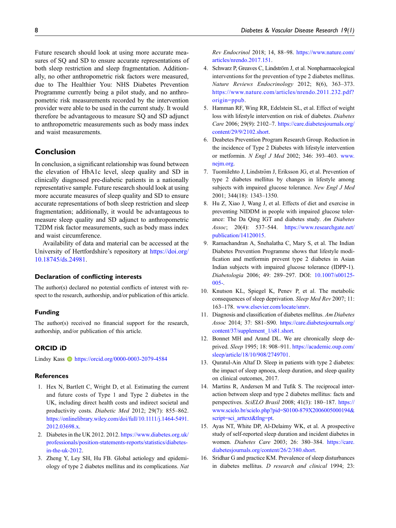Future research should look at using more accurate measures of SQ and SD to ensure accurate representations of both sleep restriction and sleep fragmentation. Additionally, no other anthropometric risk factors were measured, due to The Healthier You: NHS Diabetes Prevention Programme currently being a pilot study, and no anthropometric risk measurements recorded by the intervention provider were able to be used in the current study. It would therefore be advantageous to measure SQ and SD adjunct to anthropometric measurements such as body mass index and waist measurements.

## Conclusion

In conclusion, a significant relationship was found between the elevation of HbA1c level, sleep quality and SD in clinically diagnosed pre-diabetic patients in a nationally representative sample. Future research should look at using more accurate measures of sleep quality and SD to ensure accurate representations of both sleep restriction and sleep fragmentation; additionally, it would be advantageous to measure sleep quality and SD adjunct to anthropometric T2DM risk factor measurements, such as body mass index and waist circumference.

Availability of data and material can be accessed at the University of Hertfordshire's repository at [https://doi.org/](https://doi.org/10.18745/ds.24981) [10.18745/ds.24981.](https://doi.org/10.18745/ds.24981)

#### Declaration of conflicting interests

The author(s) declared no potential conflicts of interest with respect to the research, authorship, and/or publication of this article.

#### Funding

The author(s) received no financial support for the research, authorship, and/or publication of this article.

#### ORCID iD

Lindsy Kass  $\bullet$  <https://orcid.org/0000-0003-2079-4584>

#### **References**

- <span id="page-7-0"></span>1. Hex N, Bartlett C, Wright D, et al. Estimating the current and future costs of Type 1 and Type 2 diabetes in the UK, including direct health costs and indirect societal and productivity costs. Diabetic Med 2012; 29(7): 855–862. [https://onlinelibrary.wiley.com/doi/full/10.1111/j.1464-5491.](https%20://onlinelibrary.wiley.com/doi/full/10.1111/j.1464-5491.2012.03698.x) [2012.03698.x.](https%20://onlinelibrary.wiley.com/doi/full/10.1111/j.1464-5491.2012.03698.x)
- <span id="page-7-1"></span>2. Diabetes in the UK 2012. 2012. [https://www.diabetes.org.uk/](https://www.diabetes.org.uk/professionals/position-statements-reports/statistics/diabetes-in-the-uk-2012) [professionals/position-statements-reports/statistics/diabetes](https://www.diabetes.org.uk/professionals/position-statements-reports/statistics/diabetes-in-the-uk-2012)[in-the-uk-2012](https://www.diabetes.org.uk/professionals/position-statements-reports/statistics/diabetes-in-the-uk-2012).
- <span id="page-7-2"></span>3. Zheng Y, Ley SH, Hu FB. Global aetiology and epidemiology of type 2 diabetes mellitus and its complications. Nat

Rev Endocrinol 2018; 14, 88–98. [https://www.nature.com/](https://www.nature.com/articles/nrendo.2017.151) [articles/nrendo.2017.151.](https://www.nature.com/articles/nrendo.2017.151)

- <span id="page-7-3"></span>4. Schwarz P, Greaves C, Lindström J, et al. Nonpharmacological interventions for the prevention of type 2 diabetes mellitus. Nature Reviews Endocrinology 2012; 8(6), 363–373. [https://www.nature.com/articles/nrendo.2011.232.pdf?](https://www.nature.com/articles/nrendo.2011.232.pdf?origin=ppub) [origin=ppub.](https://www.nature.com/articles/nrendo.2011.232.pdf?origin=ppub)
- <span id="page-7-4"></span>5. Hamman RF, Wing RR, Edelstein SL, et al. Effect of weight loss with lifestyle intervention on risk of diabetes. Diabetes Care 2006; 29(9): 2102–7. [https://care.diabetesjournals.org/](https://care.diabetesjournals.org/content/29/9/2102.short) [content/29/9/2102.short](https://care.diabetesjournals.org/content/29/9/2102.short).
- <span id="page-7-5"></span>6. Deabetes Prevention Program Research Group. Reduction in the incidence of Type 2 Diabetes with lifestyle intervention or metformin. N Engl J Med 2002; 346: 393–403. [www.](http://www.nejm.org) [nejm.org](http://www.nejm.org).
- 7. Tuomilehto J, Lindström J, Eriksson JG, et al. Prevention of type 2 diabetes mellitus by changes in lifestyle among subjects with impaired glucose tolerance. New Engl J Med 2001; 344(18): 1343–1350.
- 8. Hu Z, Xiao J, Wang J, et al. Effects of diet and exercise in preventing NIDDM in people with impaired glucose tolerance: The Da Qing IGT and diabetes study. Am Diabetes Assoc; 20(4): 537–544. [https://www.researchgate.net/](https://www.researchgate.net/publication/14120015) [publication/14120015.](https://www.researchgate.net/publication/14120015)
- 9. Ramachandran A, Snehalatha C, Mary S, et al. The Indian Diabetes Prevention Programme shows that lifestyle modification and metformin prevent type 2 diabetes in Asian Indian subjects with impaired glucose tolerance (IDPP-1). Diabetologia 2006; 49: 289–297. DOI: [10.1007/s00125-](https://doi.org/10.1007/s00125-005-) [005-.](https://doi.org/10.1007/s00125-005-)
- <span id="page-7-11"></span>10. Knutson KL, Spiegel K, Penev P, et al. The metabolic consequences of sleep deprivation. Sleep Med Rev 2007; 11: 163–178. [www.elsevier.com/locate/smrv.](http://www.elsevier.com/locate/smrv)
- <span id="page-7-6"></span>11. Diagnosis and classification of diabetes mellitus. Am Diabetes Assoc 2014; 37: S81–S90. [https://care.diabetesjournals.org/](https://care.diabetesjournals.org/content/37/supplement_1/s81.short) [content/37/supplement\\_1/s81.short.](https://care.diabetesjournals.org/content/37/supplement_1/s81.short)
- <span id="page-7-7"></span>12. Bonnet MH and Arand DL. We are chronically sleep deprived. Sleep 1995; 18: 908–911. [https://academic.oup.com/](https://academic.oup.com/sleep/article/18/10/908/2749701) [sleep/article/18/10/908/2749701](https://academic.oup.com/sleep/article/18/10/908/2749701).
- 13. Quratul-Ain Altaf D. Sleep in patients with type 2 diabetes: the impact of sleep apnoea, sleep duration, and sleep quality on clinical outcomes, 2017.
- <span id="page-7-8"></span>14. Martins R, Andersen M and Tufik S. The reciprocal interaction between sleep and type 2 diabetes mellitus: facts and perspectives. SciELO Brasil 2008; 41(3): 180–187. [https://](https://www.scielo.br/scielo.php?pid=S0100-879X2006005000194&script=sci_arttext&tlng=pt) [www.scielo.br/scielo.php?pid=S0100-879X2006005000194&](https://www.scielo.br/scielo.php?pid=S0100-879X2006005000194&script=sci_arttext&tlng=pt) [script=sci\\_arttext&tlng=pt.](https://www.scielo.br/scielo.php?pid=S0100-879X2006005000194&script=sci_arttext&tlng=pt)
- <span id="page-7-9"></span>15. Ayas NT, White DP, Al-Delaimy WK, et al. A prospective study of self-reported sleep duration and incident diabetes in women. Diabetes Care 2003; 26: 380–384. [https://care.](https://care.diabetesjournals.org/content/26/2/380.short) [diabetesjournals.org/content/26/2/380.short.](https://care.diabetesjournals.org/content/26/2/380.short)
- <span id="page-7-10"></span>16. Sridhar G and practice KM. Prevalence of sleep disturbances in diabetes mellitus. D research and clinical 1994; 23: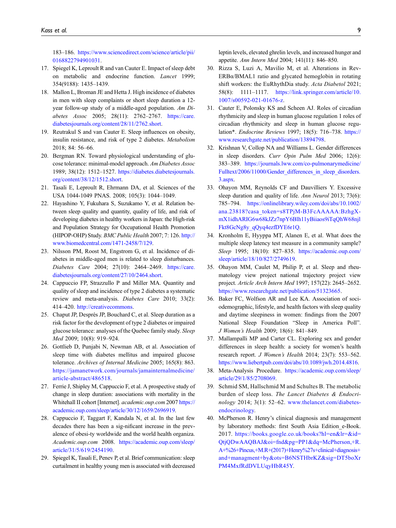183–186. [https://www.sciencedirect.com/science/article/pii/](https://www.sciencedirect.com/science/article/pii/0168822794901031) [0168822794901031](https://www.sciencedirect.com/science/article/pii/0168822794901031).

- <span id="page-8-0"></span>17. Spiegel K, Leproult R and van Cauter E. Impact of sleep debt on metabolic and endocrine function. Lancet 1999; 354(9188): 1435–1439.
- <span id="page-8-1"></span>18. Mallon L, Broman JE and Hetta J. High incidence of diabetes in men with sleep complaints or short sleep duration a 12 year follow-up study of a middle-aged population. Am Diabetes Assoc 2005; 28(11): 2762–2767. [https://care.](https://care.diabetesjournals.org/content/28/11/2762.short) [diabetesjournals.org/content/28/11/2762.short](https://care.diabetesjournals.org/content/28/11/2762.short).
- <span id="page-8-2"></span>19. Reutrakul S and van Cauter E. Sleep influences on obesity, insulin resistance, and risk of type 2 diabetes. Metabolism 2018; 84: 56–66.
- <span id="page-8-3"></span>20. Bergman RN. Toward physiological understanding of glucose tolerance: minimal-model approach. Am Diabetes Assoc 1989; 38(12): 1512–1527. [https://diabetes.diabetesjournals.](https://diabetes.diabetesjournals.org/content/38/12/1512.short) [org/content/38/12/1512.short.](https://diabetes.diabetesjournals.org/content/38/12/1512.short)
- <span id="page-8-4"></span>21. Tasali E, Leproult R, Ehrmann DA, et al. Sciences of the USA 1044-1049 PNAS. 2008; 105(3): 1044–1049.
- <span id="page-8-5"></span>22. Hayashino Y, Fukuhara S, Suzukamo Y, et al. Relation between sleep quality and quantity, quality of life, and risk of developing diabetes in healthy workers in Japan: the High-risk and Population Strategy for Occupational Health Promotion (HIPOP-OHP) Study. BMC Public Health 2007; 7: 126. [http://](http://www.biomedcentral.com/1471-2458/7/129) [www.biomedcentral.com/1471-2458/7/129.](http://www.biomedcentral.com/1471-2458/7/129)
- <span id="page-8-6"></span>23. Nilsson PM, Roost M, Engstrom G, et al. Incidence of diabetes in middle-aged men is related to sleep disturbances. Diabetes Care 2004; 27(10): 2464–2469. [https://care.](https://care.diabetesjournals.org/content/27/10/2464.short) [diabetesjournals.org/content/27/10/2464.short.](https://care.diabetesjournals.org/content/27/10/2464.short)
- <span id="page-8-7"></span>24. Cappuccio FP, Strazzullo P and Miller MA. Quantity and quality of sleep and incidence of type 2 diabetes a systematic review and meta-analysis. Diabetes Care 2010; 33(2): 414–420. [http://creativecommons.](http://creativecommons)
- <span id="page-8-8"></span>25. Chaput JP, Després JP, Bouchard C, et al. Sleep duration as a risk factor for the development of type 2 diabetes or impaired glucose tolerance: analyses of the Quebec family study. Sleep Med 2009; 10(8): 919–924.
- <span id="page-8-9"></span>26. Gottlieb D, Punjabi N, Newman AB, et al. Association of sleep time with diabetes mellitus and impaired glucose tolerance. Archives of Internal Medicine 2005; 165(8): 863. [https://jamanetwork.com/journals/jamainternalmedicine/](https://jamanetwork.com/journals/jamainternalmedicine/article-abstract/486518) [article-abstract/486518](https://jamanetwork.com/journals/jamainternalmedicine/article-abstract/486518).
- <span id="page-8-10"></span>27. Ferrie J, Shipley M, Cappuccio F, et al. A prospective study of change in sleep duration: associations with mortality in the Whitehall II cohort [Internet]. *academic.oup.com* 2007 [https://](https://academic.oup.com/sleep/article/30/12/1659/2696919) [academic.oup.com/sleep/article/30/12/1659/2696919](https://academic.oup.com/sleep/article/30/12/1659/2696919).
- <span id="page-8-11"></span>28. Cappuccio F, Taggart F, Kandala N, et al. In the last few decades there has been a sig-nificant increase in the prevalence of obesi-ty worldwide and the world health organiza. Academic.oup.com 2008. [https://academic.oup.com/sleep/](https://academic.oup.com/sleep/article/31/5/619/2454190) [article/31/5/619/2454190](https://academic.oup.com/sleep/article/31/5/619/2454190).
- <span id="page-8-12"></span>29. Spiegel K, Tasali E, Penev P, et al. Brief communication: sleep curtailment in healthy young men is associated with decreased

leptin levels, elevated ghrelin levels, and increased hunger and appetite. Ann Intern Med 2004; 141(11): 846–850.

- <span id="page-8-13"></span>30. Rizza S, Luzi A, Mavilio M, et al. Alterations in Rev-ERBα/BMAL1 ratio and glycated hemoglobin in rotating shift workers: the EuRhythDia study. Acta Diabetol 2021; 58(8): 1111–1117. [https://link.springer.com/article/10.](https://link.springer.com/article/10.1007/s00592-021-01676-z) [1007/s00592-021-01676-z.](https://link.springer.com/article/10.1007/s00592-021-01676-z)
- <span id="page-8-14"></span>31. Cauter E, Polonsky KS and Scheen AJ. Roles of circadian rhythmicity and sleep in human glucose regulation 1 roles of circadian rhythmicity and sleep in human glucose regulation\*. Endocrine Reviews 1997; 18(5): 716–738. [https://](https://www.researchgate.net/publication/13894798) [www.researchgate.net/publication/13894798.](https://www.researchgate.net/publication/13894798)
- <span id="page-8-15"></span>32. Krishnan V, Collop NA and Williams L. Gender differences in sleep disorders. Curr Opin Pulm Med 2006; 12(6): 383–389. [https://journals.lww.com/co-pulmonarymedicine/](https://journals.lww.com/co-pulmonarymedicine/Fulltext/2006/11000/Gender_differences_in_sleep_disorders.3.aspx) [Fulltext/2006/11000/Gender\\_differences\\_in\\_sleep\\_disorders.](https://journals.lww.com/co-pulmonarymedicine/Fulltext/2006/11000/Gender_differences_in_sleep_disorders.3.aspx) [3.aspx](https://journals.lww.com/co-pulmonarymedicine/Fulltext/2006/11000/Gender_differences_in_sleep_disorders.3.aspx).
- <span id="page-8-16"></span>33. Ohayon MM, Reynolds CF and Dauvilliers Y. Excessive sleep duration and quality of life. Ann Neurol 2013; 73(6): 785–794. [https://onlinelibrary.wiley.com/doi/abs/10.1002/](https://onlinelibrary.wiley.com/doi/abs/10.1002/ana.23818?casa_token=s8TPjM-B3FcAAAAA:BzhgX-mX1idhARIG6w68kJZz7npY6Blh11yBiiaos9iTqQhW68njlFkt8GcNg8y_qQyq4ezfDYE6r1Q) [ana.23818?casa\\_token=s8TPjM-B3FcAAAAA:BzhgX](https://onlinelibrary.wiley.com/doi/abs/10.1002/ana.23818?casa_token=s8TPjM-B3FcAAAAA:BzhgX-mX1idhARIG6w68kJZz7npY6Blh11yBiiaos9iTqQhW68njlFkt8GcNg8y_qQyq4ezfDYE6r1Q)[mX1idhARIG6w68kJZz7npY6Blh11yBiiaos9iTqQhW68njl](https://onlinelibrary.wiley.com/doi/abs/10.1002/ana.23818?casa_token=s8TPjM-B3FcAAAAA:BzhgX-mX1idhARIG6w68kJZz7npY6Blh11yBiiaos9iTqQhW68njlFkt8GcNg8y_qQyq4ezfDYE6r1Q) [Fkt8GcNg8y\\_qQyq4ezfDYE6r1Q](https://onlinelibrary.wiley.com/doi/abs/10.1002/ana.23818?casa_token=s8TPjM-B3FcAAAAA:BzhgX-mX1idhARIG6w68kJZz7npY6Blh11yBiiaos9iTqQhW68njlFkt8GcNg8y_qQyq4ezfDYE6r1Q).
- <span id="page-8-17"></span>34. Kronholm E, Hyyppa MT, Alanen E, et al. What does the multiple sleep latency test measure in a community sample? Sleep 1995; 18(10): 827–835. [https://academic.oup.com/](https://academic.oup.com/sleep/article/18/10/827/2749619) [sleep/article/18/10/827/2749619.](https://academic.oup.com/sleep/article/18/10/827/2749619)
- <span id="page-8-18"></span>35. Ohayon MM, Caulet M, Philip P, et al. Sleep and rheumatology view project national trajectory project view project. Article Arch Intern Med 1997; 157(22): 2645–2652. <https://www.researchgate.net/publication/51323665>.
- <span id="page-8-19"></span>36. Baker FC, Wolfson AR and Lee KA. Association of sociodemographic, lifestyle, and health factors with sleep quality and daytime sleepiness in women: findings from the 2007 National Sleep Foundation "Sleep in America Poll". J Women's Health 2009; 18(6): 841–849.
- <span id="page-8-20"></span>37. Mallampalli MP and Carter CL. Exploring sex and gender differences in sleep health: a society for women's health research report. J Women's Health 2014; 23(7): 553–562. <https://www.liebertpub.com/doi/abs/10.1089/jwh.2014.4816>.
- <span id="page-8-21"></span>38. Meta-Analysis Procedure. [https://academic.oup.com/sleep/](https://academic.oup.com/sleep/article/29/1/85/2708069) [article/29/1/85/2708069](https://academic.oup.com/sleep/article/29/1/85/2708069).
- <span id="page-8-22"></span>39. Schmid SM, Hallschmid M and Schultes B. The metabolic burden of sleep loss. The Lancet Diabetes & Endocrinology 2014; 3(1): 52–62. [www.thelancet.com/diabetes](http://www.thelancet.com/diabetes-endocrinology)[endocrinology.](http://www.thelancet.com/diabetes-endocrinology)
- <span id="page-8-23"></span>40. McPherson R. Henry's clinical diagnosis and management by laboratory methods: first South Asia Edition\_e-Book. 2017. [https://books.google.co.uk/books?hl=en&lr=&id=](https://books.google.co.uk/books?hl=en&lr=&id=QtjQDwAAQBAJ&oi=fnd&pg=PP1&dq=McPherson,+R.A+&+Pincus,+M.R+(2017)+Henry) [QtjQDwAAQBAJ&oi=fnd&pg=PP1&dq=McPherson,+R.](https://books.google.co.uk/books?hl=en&lr=&id=QtjQDwAAQBAJ&oi=fnd&pg=PP1&dq=McPherson,+R.A+&+Pincus,+M.R+(2017)+Henry) [A+%26+Pincus,+M.R+\(2017\)+Henry%27s+clinical+diagnosis+](https://books.google.co.uk/books?hl=en&lr=&id=QtjQDwAAQBAJ&oi=fnd&pg=PP1&dq=McPherson,+R.A+&+Pincus,+M.R+(2017)+Henry) [and+managment+by&ots=B6NSTHbrKZ&sig=DT5boXr](https://books.google.co.uk/books?hl=en&lr=&id=QtjQDwAAQBAJ&oi=fnd&pg=PP1&dq=McPherson,+R.A+&+Pincus,+M.R+(2017)+Henry) [PM4MxfRdDVLUqyHbR45Y.](https://books.google.co.uk/books?hl=en&lr=&id=QtjQDwAAQBAJ&oi=fnd&pg=PP1&dq=McPherson,+R.A+&+Pincus,+M.R+(2017)+Henry)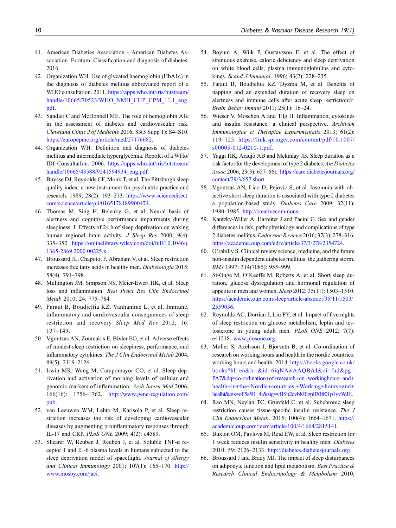- <span id="page-9-0"></span>41. American Diabeties Association - American Diabetes Association. Erratum. Classification and diagnosis of diabetes. 2016.
- <span id="page-9-1"></span>42. Organization WH. Use of glycated haemoglobin (HbA1c) in the diagnosis of diabetes mellitus abbreviated report of a WHO consultation. 2011. [https://apps.who.int/iris/bitstream/](https://apps.who.int/iris/bitstream/handle/10665/70523/WHO_NMH_CHP_CPM_11.1_eng.pdf) [handle/10665/70523/WHO\\_NMH\\_CHP\\_CPM\\_11.1\\_eng.](https://apps.who.int/iris/bitstream/handle/10665/70523/WHO_NMH_CHP_CPM_11.1_eng.pdf) [pdf](https://apps.who.int/iris/bitstream/handle/10665/70523/WHO_NMH_CHP_CPM_11.1_eng.pdf).
- <span id="page-9-2"></span>43. Sandler C and McDonnell ME. The role of hemoglobin A1c in the assessment of diabetes and cardiovascular risk. Cleveland Clinic J of Medicine 2016; 83(5 Supp 1): S4–S10. <https://europepmc.org/article/med/27176682>.
- <span id="page-9-3"></span>44. Organization WH. Definition and diagnosis of diabetes mellitus and intermediate hyperglycemia. RepoRt of a WHo/ IDf ConsultatIon. 2006. [https://apps.who.int/iris/bitstream/](https://apps.who.int/iris/bitstream/handle/10665/43588/9241594934_eng.pdf) [handle/10665/43588/9241594934\\_eng.pdf.](https://apps.who.int/iris/bitstream/handle/10665/43588/9241594934_eng.pdf)
- <span id="page-9-4"></span>45. Buysse DJ, Reynolds CF, Monk T, et al. The Pittsburgh sleep quality index: a new instrument for psychiatric practice and research. 1989; 28(2): 193–213. [https://www.sciencedirect.](https://www.sciencedirect.com/science/article/pii/0165178189900474) [com/science/article/pii/0165178189900474.](https://www.sciencedirect.com/science/article/pii/0165178189900474)
- <span id="page-9-5"></span>46. Thomas M, Sing H, Belenky G, et al. Neural basis of alertness and cognitive performance impairments during sleepiness. I. Effects of 24 h of sleep deprivation on waking human regional brain activity. J Sleep Res 2000; 9(4): 335–352. [https://onlinelibrary.wiley.com/doi/full/10.1046/j.](https://onlinelibrary.wiley.com/doi/full/10.1046/j.1365-2869.2000.00225.x) [1365-2869.2000.00225.x](https://onlinelibrary.wiley.com/doi/full/10.1046/j.1365-2869.2000.00225.x).
- <span id="page-9-6"></span>47. Broussard JL, Chapotot F, Abraham V, et al. Sleep restriction increases free fatty acids in healthy men. Diabetologia 2015; 58(4): 791–798.
- <span id="page-9-7"></span>48. Mullington JM, Simpson NS, Meier-Ewert HK, et al. Sleep loss and inflammation. Best Pract Res Clin Endocrinol Metab 2010; 24: 775–784.
- <span id="page-9-8"></span>49. Faraut B, Boudjeltia KZ, Vanhamme L, et al. Immune, inflammatory and cardiovascular consequences of sleep restriction and recovery Sleep Med Rev 2012; 16: 137–149.
- <span id="page-9-9"></span>50. Vgontzas AN, Zoumakis E, Bixler EO, et al. Adverse effects of modest sleep restriction on sleepiness, performance, and inflammatory cytokines. The J Clin Endocrinol Metab 2004; 89(5): 2119–2126.
- <span id="page-9-10"></span>51. Irwin MR, Wang M, Campomayor CO, et al. Sleep deprivation and activation of morning levels of cellular and genomic markers of inflammation. Arch Intern Med 2006; 166(16): 1756–1762. [http://www.gene-regulation.com/](http://www.gene-regulation.com/pub) [pub.](http://www.gene-regulation.com/pub)
- <span id="page-9-11"></span>52. van Leeuwen WM, Lehto M, Karisola P, et al. Sleep restriction increases the risk of developing cardiovascular diseases by augmenting proinflammatory responses through IL-17 and CRP. PLoS ONE 2009; 4(2): e4589.
- <span id="page-9-12"></span>53. Shearer W, Reuben J, Reuben J, et al. Soluble TNF-α receptor 1 and IL-6 plasma levels in humans subjected to the sleep deprivation model of spaceflight. Journal of Allergy and Clinical Immunology 2001; 107(1): 165–170. [http://](http://www.mosby.com/jaci) [www.mosby.com/jaci.](http://www.mosby.com/jaci)
- <span id="page-9-13"></span>54. Bøyum A, Wiik P, Gustavsson E, et al. The effect of strenuous exercise, calorie deficiency and sleep deprivation on white blood cells, plasma immunoglobulins and cytokines. Scand J Immunol. 1996; 43(2): 228–235.
- <span id="page-9-14"></span>55. Faraut B, Boudjeltia KZ, Dyzma M, et al. Benefits of napping and an extended duration of recovery sleep on alertness and immune cells after acute sleep restriction☆. Brain Behav Immun 2011; 25(1): 16–24.
- <span id="page-9-15"></span>56. Wieser V, Moschen A and Tilg H. Inflammation, cytokines and insulin resistance: a clinical perspective. Archivum Immunologiae et Therapiae Experimentalis 2013; 61(2): 119–125. [https://link.springer.com/content/pdf/10.1007/](https://link.springer.com/content/pdf/10.1007/s00005-012-0210-1.pdf) [s00005-012-0210-1.pdf](https://link.springer.com/content/pdf/10.1007/s00005-012-0210-1.pdf).
- <span id="page-9-16"></span>57. Yaggi HK, Araujo AB and Mckinlay JB. Sleep duration as a risk factor for the development of type 2 diabetes. Am Diabetes Assoc 2006; 29(3): 657–661. [https://care.diabetesjournals.org/](https://care.diabetesjournals.org/content/29/3/657.short) [content/29/3/657.short.](https://care.diabetesjournals.org/content/29/3/657.short)
- <span id="page-9-17"></span>58. Vgontzas AN, Liao D, Pejovic S, et al. Insomnia with objective short sleep duration is associated with type 2 diabetes a population-based study. Diabetes Care 2009; 32(11): 1980–1985. [http://creativecommons.](http://creativecommons)
- <span id="page-9-18"></span>59. Kautzky-Willer A, Harreiter J and Pacini G. Sex and gender differences in risk, pathophysiology and complications of type 2 diabetes mellitus. Endocrine Reviews 2016; 37(3): 278–316. [https://academic.oup.com/edrv/article/37/3/278/2354724.](https://academic.oup.com/edrv/article/37/3/278/2354724)
- <span id="page-9-19"></span>60. O'rahilly S. Clinical review science, medicine, and the future non-insulin dependent diabetes mellitus: the gathering storm. BMJ 1997; 314(7085): 955–999.
- <span id="page-9-21"></span>61. St-Onge M, O'Keeffe M, Roberts A, et al. Short sleep duration, glucose dysregulation and hormonal regulation of appetite in men and women. Sleep 2012; 35(11): 1503–1510. [https://academic.oup.com/sleep/article-abstract/35/11/1503/](https://academic.oup.com/sleep/article-abstract/35/11/1503/2559036) [2559036.](https://academic.oup.com/sleep/article-abstract/35/11/1503/2559036)
- <span id="page-9-20"></span>62. Reynolds AC, Dorrian J, Liu PY, et al. Impact of five nights of sleep restriction on glucose metabolism, leptin and testosterone in young adult men. PLoS ONE 2012; 7(7): e41218. [www.plosone.org.](http://www.plosone.org)
- 63. Møller S, Axelsson J, Bjorvatn B, et al. Co-ordination of research on working hours and health in the nordic countries: working hours and health. 2014. [https://books.google.co.uk/](https://books.google.co.uk/books?hl=en&lr=&id=6iqNAwAAQBAJ&oi=fnd&pg=PA7&dq=co-ordination+of+research+on+workinghours+and+health+in+the+Nordic+countries:+Working+hours+and+healht&ots=oF5s5l1_4r&sig=vHSh2cvbM0gpIlXlfr01p1yvWJE) [books?hl=en&lr=&id=6iqNAwAAQBAJ&oi=fnd&pg=](https://books.google.co.uk/books?hl=en&lr=&id=6iqNAwAAQBAJ&oi=fnd&pg=PA7&dq=co-ordination+of+research+on+workinghours+and+health+in+the+Nordic+countries:+Working+hours+and+healht&ots=oF5s5l1_4r&sig=vHSh2cvbM0gpIlXlfr01p1yvWJE) [PA7&dq=co-ordination+of+research+on+workinghours+and+](https://books.google.co.uk/books?hl=en&lr=&id=6iqNAwAAQBAJ&oi=fnd&pg=PA7&dq=co-ordination+of+research+on+workinghours+and+health+in+the+Nordic+countries:+Working+hours+and+healht&ots=oF5s5l1_4r&sig=vHSh2cvbM0gpIlXlfr01p1yvWJE) [health+in+the+Nordic+countries:+Working+hours+and+](https://books.google.co.uk/books?hl=en&lr=&id=6iqNAwAAQBAJ&oi=fnd&pg=PA7&dq=co-ordination+of+research+on+workinghours+and+health+in+the+Nordic+countries:+Working+hours+and+healht&ots=oF5s5l1_4r&sig=vHSh2cvbM0gpIlXlfr01p1yvWJE) [healht&ots=oF5s5l1\\_4r&sig=vHSh2cvbM0gpIlXlfr01p1yvWJE](https://books.google.co.uk/books?hl=en&lr=&id=6iqNAwAAQBAJ&oi=fnd&pg=PA7&dq=co-ordination+of+research+on+workinghours+and+health+in+the+Nordic+countries:+Working+hours+and+healht&ots=oF5s5l1_4r&sig=vHSh2cvbM0gpIlXlfr01p1yvWJE).
- 64. Rao MN, Neylan TC, Grunfeld C, et al. Subchronic sleep restriction causes tissue-specific insulin resistance. The J Clin Endocrinol Metab. 2015; 100(4): 1664–1671. [https://](https://academic.oup.com/jcem/article/100/4/1664/2815141) [academic.oup.com/jcem/article/100/4/1664/2815141](https://academic.oup.com/jcem/article/100/4/1664/2815141).
- 65. Buxton OM, Pavlova M, Reid EW, et al. Sleep restriction for 1 week reduces insulin sensitivity in healthy men. Diabetes 2010; 59: 2126–2133. [http://diabetes.diabetesjournals.org.](http://diabetes.diabetesjournals.org)
- 66. Broussard J and Brady MJ. The impact of sleep disturbances on adipocyte function and lipid metabolism. Best Practice & Research Clinical Endocrinology & Metabolism 2010;